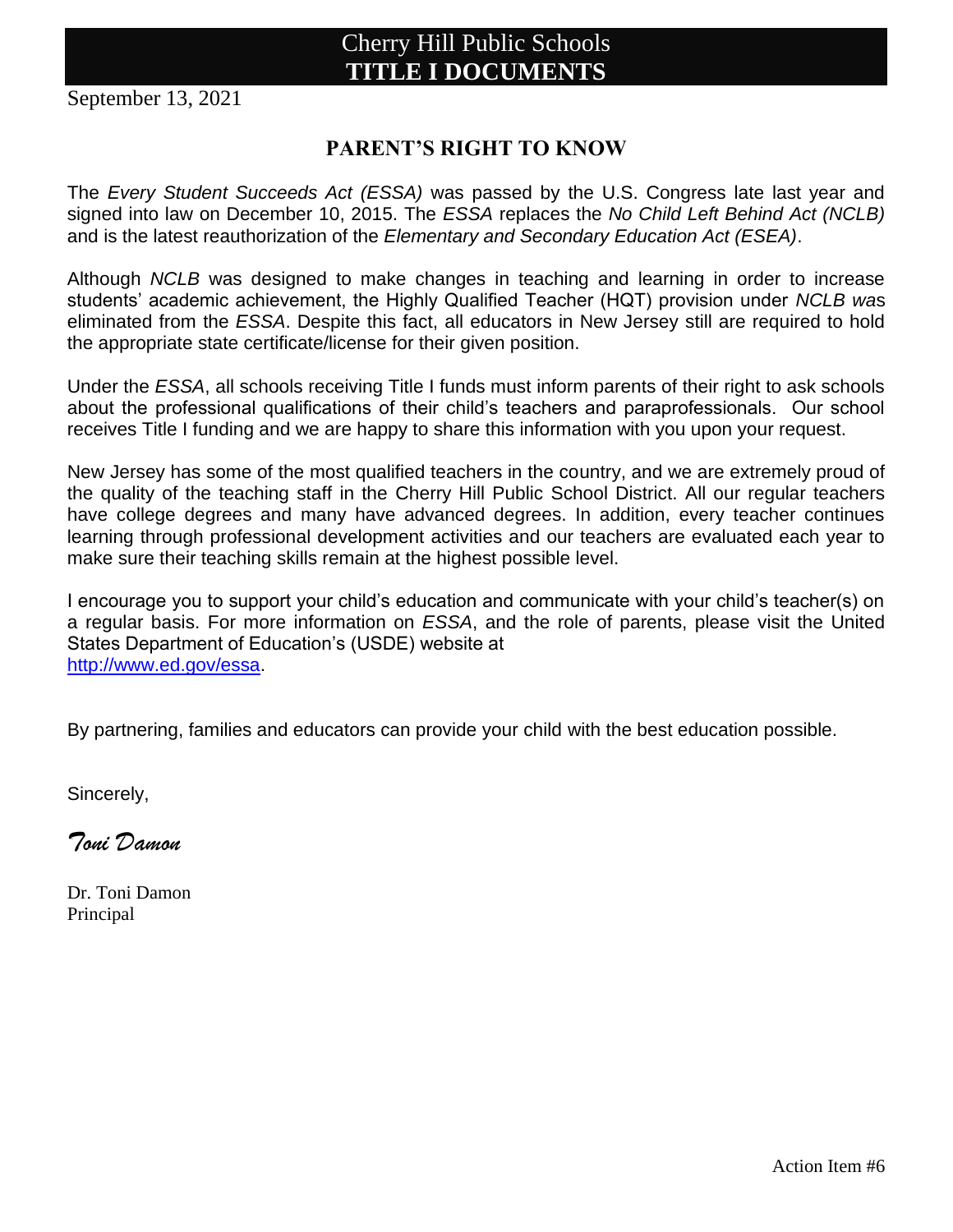September 13, 2021

### **PARENT'S RIGHT TO KNOW**

The *Every Student Succeeds Act (ESSA)* was passed by the U.S. Congress late last year and signed into law on December 10, 2015. The *ESSA* replaces the *No Child Left Behind Act (NCLB)* and is the latest reauthorization of the *Elementary and Secondary Education Act (ESEA)*.

Although *NCLB* was designed to make changes in teaching and learning in order to increase students' academic achievement, the Highly Qualified Teacher (HQT) provision under *NCLB wa*s eliminated from the *ESSA*. Despite this fact, all educators in New Jersey still are required to hold the appropriate state certificate/license for their given position.

Under the *ESSA*, all schools receiving Title I funds must inform parents of their right to ask schools about the professional qualifications of their child's teachers and paraprofessionals. Our school receives Title I funding and we are happy to share this information with you upon your request.

New Jersey has some of the most qualified teachers in the country, and we are extremely proud of the quality of the teaching staff in the Cherry Hill Public School District. All our regular teachers have college degrees and many have advanced degrees. In addition, every teacher continues learning through professional development activities and our teachers are evaluated each year to make sure their teaching skills remain at the highest possible level.

I encourage you to support your child's education and communicate with your child's teacher(s) on a regular basis. For more information on *ESSA*, and the role of parents, please visit the United States Department of Education's (USDE) website at [http://www.ed.gov/essa.](http://www.ed.gov/essa)

By partnering, families and educators can provide your child with the best education possible.

Sincerely,

*Toni Damon*

Dr. Toni Damon Principal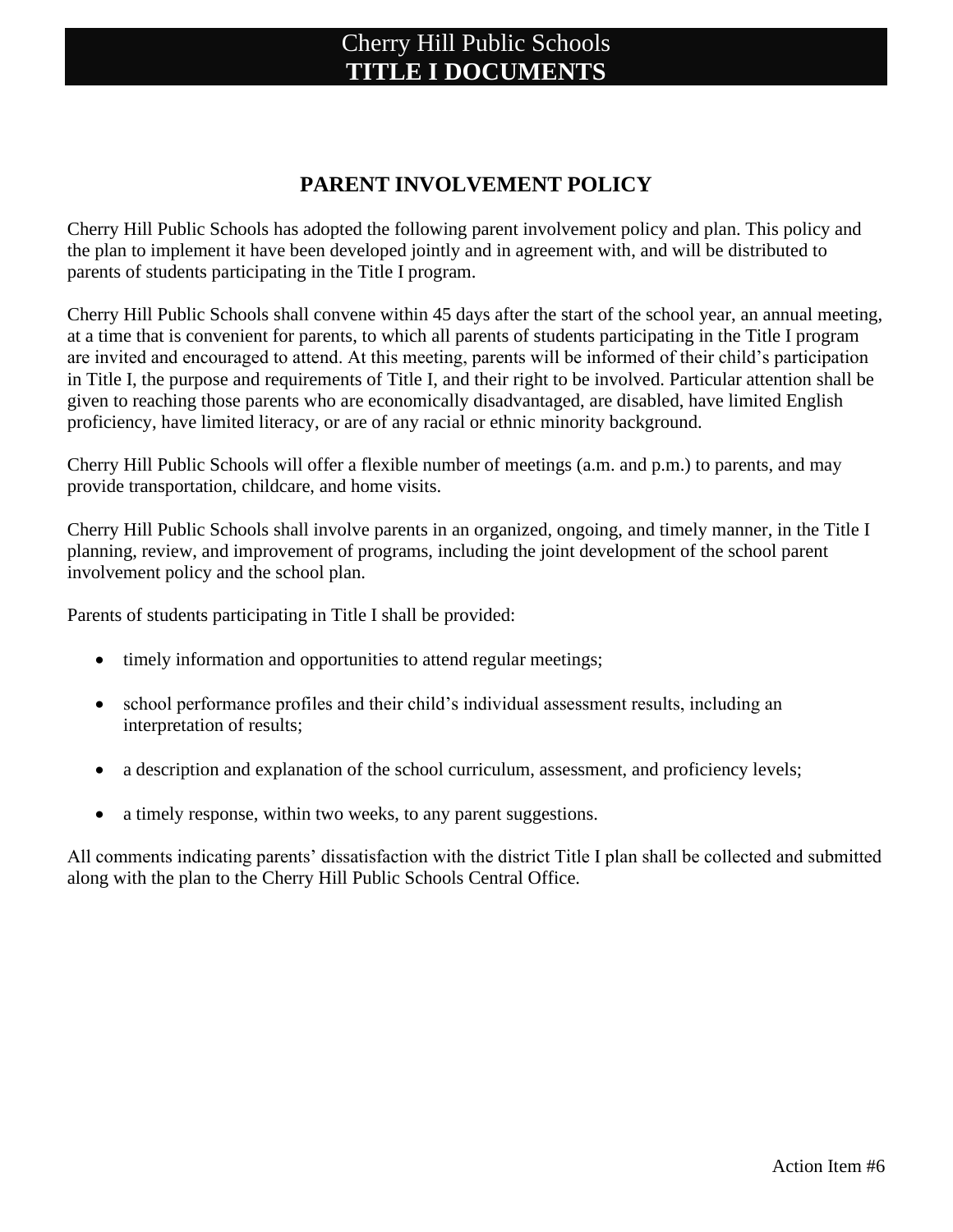#### **PARENT INVOLVEMENT POLICY**

Cherry Hill Public Schools has adopted the following parent involvement policy and plan. This policy and the plan to implement it have been developed jointly and in agreement with, and will be distributed to parents of students participating in the Title I program.

Cherry Hill Public Schools shall convene within 45 days after the start of the school year, an annual meeting, at a time that is convenient for parents, to which all parents of students participating in the Title I program are invited and encouraged to attend. At this meeting, parents will be informed of their child's participation in Title I, the purpose and requirements of Title I, and their right to be involved. Particular attention shall be given to reaching those parents who are economically disadvantaged, are disabled, have limited English proficiency, have limited literacy, or are of any racial or ethnic minority background.

Cherry Hill Public Schools will offer a flexible number of meetings (a.m. and p.m.) to parents, and may provide transportation, childcare, and home visits.

Cherry Hill Public Schools shall involve parents in an organized, ongoing, and timely manner, in the Title I planning, review, and improvement of programs, including the joint development of the school parent involvement policy and the school plan.

Parents of students participating in Title I shall be provided:

- timely information and opportunities to attend regular meetings;
- school performance profiles and their child's individual assessment results, including an interpretation of results;
- a description and explanation of the school curriculum, assessment, and proficiency levels;
- a timely response, within two weeks, to any parent suggestions.

All comments indicating parents' dissatisfaction with the district Title I plan shall be collected and submitted along with the plan to the Cherry Hill Public Schools Central Office.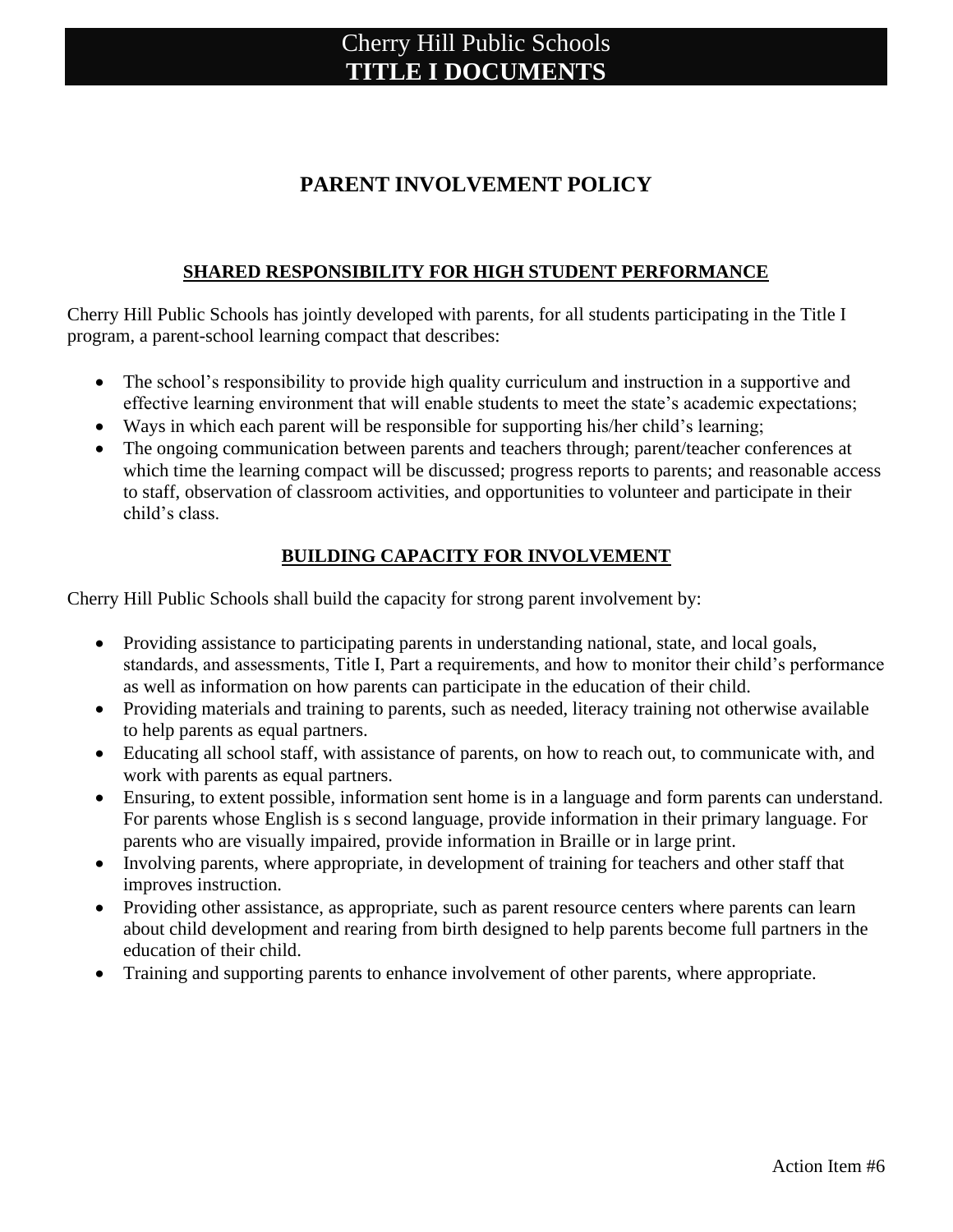### **PARENT INVOLVEMENT POLICY**

#### **SHARED RESPONSIBILITY FOR HIGH STUDENT PERFORMANCE**

Cherry Hill Public Schools has jointly developed with parents, for all students participating in the Title I program, a parent-school learning compact that describes:

- The school's responsibility to provide high quality curriculum and instruction in a supportive and effective learning environment that will enable students to meet the state's academic expectations;
- Ways in which each parent will be responsible for supporting his/her child's learning;
- The ongoing communication between parents and teachers through; parent/teacher conferences at which time the learning compact will be discussed; progress reports to parents; and reasonable access to staff, observation of classroom activities, and opportunities to volunteer and participate in their child's class.

#### **BUILDING CAPACITY FOR INVOLVEMENT**

Cherry Hill Public Schools shall build the capacity for strong parent involvement by:

- Providing assistance to participating parents in understanding national, state, and local goals, standards, and assessments, Title I, Part a requirements, and how to monitor their child's performance as well as information on how parents can participate in the education of their child.
- Providing materials and training to parents, such as needed, literacy training not otherwise available to help parents as equal partners.
- Educating all school staff, with assistance of parents, on how to reach out, to communicate with, and work with parents as equal partners.
- Ensuring, to extent possible, information sent home is in a language and form parents can understand. For parents whose English is s second language, provide information in their primary language. For parents who are visually impaired, provide information in Braille or in large print.
- Involving parents, where appropriate, in development of training for teachers and other staff that improves instruction.
- Providing other assistance, as appropriate, such as parent resource centers where parents can learn about child development and rearing from birth designed to help parents become full partners in the education of their child.
- Training and supporting parents to enhance involvement of other parents, where appropriate.